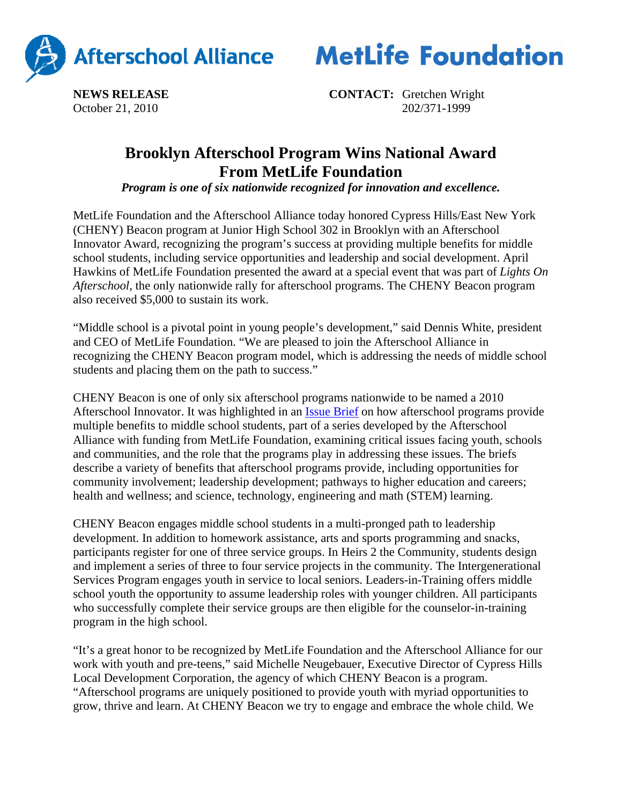



**NEWS RELEASE CONTACT:** Gretchen Wright October 21, 2010202/371-1999

## **Brooklyn Afterschool Program Wins National Award From MetLife Foundation**

*Program is one of six nationwide recognized for innovation and excellence.*

MetLife Foundation and the Afterschool Alliance today honored Cypress Hills/East New York (CHENY) Beacon program at Junior High School 302 in Brooklyn with an Afterschool Innovator Award, recognizing the program's success at providing multiple benefits for middle school students, including service opportunities and leadership and social development. April Hawkins of MetLife Foundation presented the award at a special event that was part of *Lights On Afterschool*, the only nationwide rally for afterschool programs. The CHENY Beacon program also received \$5,000 to sustain its work.

"Middle school is a pivotal point in young people's development," said Dennis White, president and CEO of MetLife Foundation. "We are pleased to join the Afterschool Alliance in recognizing the CHENY Beacon program model, which is addressing the needs of middle school students and placing them on the path to success."

CHENY Beacon is one of only six afterschool programs nationwide to be named a 2010 Afterschool Innovator. It was highlighted in an Issue Brief on how afterschool programs provide multiple benefits to middle school students, part of a series developed by the Afterschool Alliance with funding from MetLife Foundation, examining critical issues facing youth, schools and communities, and the role that the programs play in addressing these issues. The briefs describe a variety of benefits that afterschool programs provide, including opportunities for community involvement; leadership development; pathways to higher education and careers; health and wellness; and science, technology, engineering and math (STEM) learning.

CHENY Beacon engages middle school students in a multi-pronged path to leadership development. In addition to homework assistance, arts and sports programming and snacks, participants register for one of three service groups. In Heirs 2 the Community, students design and implement a series of three to four service projects in the community. The Intergenerational Services Program engages youth in service to local seniors. Leaders-in-Training offers middle school youth the opportunity to assume leadership roles with younger children. All participants who successfully complete their service groups are then eligible for the counselor-in-training program in the high school.

"It's a great honor to be recognized by MetLife Foundation and the Afterschool Alliance for our work with youth and pre-teens," said Michelle Neugebauer, Executive Director of Cypress Hills Local Development Corporation, the agency of which CHENY Beacon is a program. "Afterschool programs are uniquely positioned to provide youth with myriad opportunities to grow, thrive and learn. At CHENY Beacon we try to engage and embrace the whole child. We